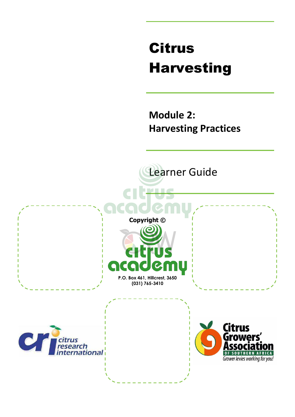# Citrus Harvesting

**Module 2: Harvesting Practices** 

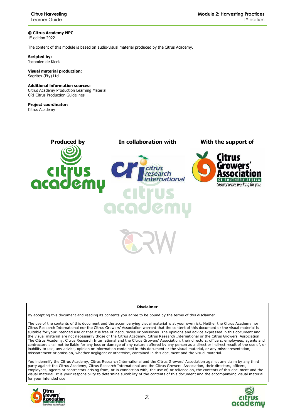**© Citrus Academy NPC**  1 st edition 2022

The content of this module is based on audio-visual material produced by the Citrus Academy.

**Scripted by:**  Jacomien de Klerk

**Visual material production:**  Sagritex (Pty) Ltd

#### **Additional information sources:**

Citrus Academy Production Learning Material CRI Citrus Production Guidelines

**Project coordinator:** Citrus Academy





#### **Disclaimer**

By accepting this document and reading its contents you agree to be bound by the terms of this disclaimer.

The use of the contents of this document and the accompanying visual material is at your own risk. Neither the Citrus Academy nor Citrus Research International nor the Citrus Growers' Association warrant that the content of this document or the visual material is suitable for your intended use or that it is free of inaccuracies or omissions. The opinions and advice expressed in this document and the visual material are not necessarily those of the Citrus Academy, Citrus Research International or the Citrus Growers' Association. The Citrus Academy, Citrus Research International and the Citrus Growers' Association, their directors, officers, employees, agents and contractors shall not be liable for any loss or damage of any nature suffered by any person as a direct or indirect result of the use of, or inability to use, any advice, opinion or information contained in this document or the visual material, or any misrepresentation, misstatement or omission, whether negligent or otherwise, contained in this document and the visual material.

You indemnify the Citrus Academy, Citrus Research International and the Citrus Growers' Association against any claim by any third party against the Citrus Academy, Citrus Research International and the Citrus Growers' Association, their directors, officers, employees, agents or contractors arising from, or in connection with, the use of, or reliance on, the contents of this document and the visual material. It is your responsibility to determine suitability of the contents of this document and the accompanying visual material for your intended use.



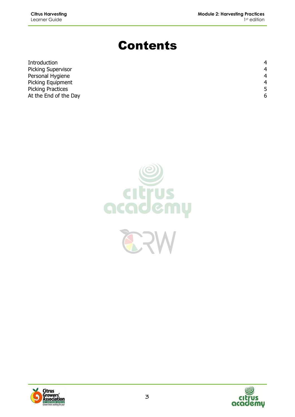# Contents

| Introduction              | 4              |
|---------------------------|----------------|
| <b>Picking Supervisor</b> | $\overline{4}$ |
| Personal Hygiene          | 4              |
| Picking Equipment         | 4              |
| <b>Picking Practices</b>  | 5              |
| At the End of the Day     | 6              |





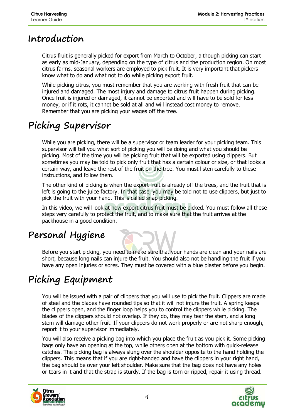#### **Introduction**

Citrus fruit is generally picked for export from March to October, although picking can start as early as mid-January, depending on the type of citrus and the production region. On most citrus farms, seasonal workers are employed to pick fruit. It is very important that pickers know what to do and what not to do while picking export fruit.

While picking citrus, you must remember that you are working with fresh fruit that can be injured and damaged. The most injury and damage to citrus fruit happen during picking. Once fruit is injured or damaged, it cannot be exported and will have to be sold for less money, or if it rots, it cannot be sold at all and will instead cost money to remove. Remember that you are picking your wages off the tree.

# **Picking Supervisor**

While you are picking, there will be a supervisor or team leader for your picking team. This supervisor will tell you what sort of picking you will be doing and what you should be picking. Most of the time you will be picking fruit that will be exported using clippers. But sometimes you may be told to pick only fruit that has a certain colour or size, or that looks a certain way, and leave the rest of the fruit on the tree. You must listen carefully to these instructions, and follow them.

The other kind of picking is when the export fruit is already off the trees, and the fruit that is left is going to the juice factory. In that case, you may be told not to use clippers, but just to pick the fruit with your hand. This is called snap picking.

In this video, we will look at how export citrus fruit must be picked. You must follow all these steps very carefully to protect the fruit, and to make sure that the fruit arrives at the packhouse in a good condition.

### **Personal Hygiene**

Before you start picking, you need to make sure that your hands are clean and your nails are short, because long nails can injure the fruit. You should also not be handling the fruit if you have any open injuries or sores. They must be covered with a blue plaster before you begin.

# **Picking Equipment**

You will be issued with a pair of clippers that you will use to pick the fruit. Clippers are made of steel and the blades have rounded tips so that it will not injure the fruit. A spring keeps the clippers open, and the finger loop helps you to control the clippers while picking. The blades of the clippers should not overlap. If they do, they may tear the stem, and a long stem will damage other fruit. If your clippers do not work properly or are not sharp enough, report it to your supervisor immediately.

You will also receive a picking bag into which you place the fruit as you pick it. Some picking bags only have an opening at the top, while others open at the bottom with quick-release catches. The picking bag is always slung over the shoulder opposite to the hand holding the clippers. This means that if you are right-handed and have the clippers in your right hand, the bag should be over your left shoulder. Make sure that the bag does not have any holes or tears in it and that the strap is sturdy. If the bag is torn or ripped, repair it using thread.



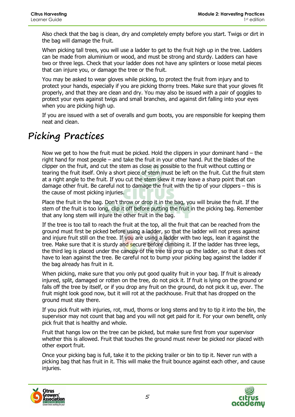Also check that the bag is clean, dry and completely empty before you start. Twigs or dirt in the bag will damage the fruit.

When picking tall trees, you will use a ladder to get to the fruit high up in the tree. Ladders can be made from aluminium or wood, and must be strong and sturdy. Ladders can have two or three legs. Check that your ladder does not have any splinters or loose metal pieces that can injure you, or damage the tree or the fruit.

You may be asked to wear gloves while picking, to protect the fruit from injury and to protect your hands, especially if you are picking thorny trees. Make sure that your gloves fit properly, and that they are clean and dry. You may also be issued with a pair of goggles to protect your eyes against twigs and small branches, and against dirt falling into your eyes when you are picking high up.

If you are issued with a set of overalls and gum boots, you are responsible for keeping them neat and clean.

## **Picking Practices**

Now we get to how the fruit must be picked. Hold the clippers in your dominant hand – the right hand for most people – and take the fruit in your other hand. Put the blades of the clipper on the fruit, and cut the stem as close as possible to the fruit without cutting or tearing the fruit itself. Only a short piece of stem must be left on the fruit. Cut the fruit stem at a right angle to the fruit. If you cut the stem skew it may leave a sharp point that can damage other fruit. Be careful not to damage the fruit with the tip of your clippers – this is the cause of most picking injuries.

Place the fruit in the bag. Don't throw or drop it in the bag, you will bruise the fruit. If the stem of the fruit is too long, clip it off before putting the fruit in the picking bag. Remember that any long stem will injure the other fruit in the bag.

If the tree is too tall to reach the fruit at the top, all the fruit that can be reached from the ground must first be picked before using a ladder, so that the ladder will not press against and injure fruit still on the tree. If you are using a ladder with two legs, lean it against the tree. Make sure that it is sturdy and secure before climbing it. If the ladder has three legs, the third leg is placed under the canopy of the tree to prop up the ladder, so that it does not have to lean against the tree. Be careful not to bump your picking bag against the ladder if the bag already has fruit in it.

When picking, make sure that you only put good quality fruit in your bag. If fruit is already injured, split, damaged or rotten on the tree, do not pick it. If fruit is lying on the ground or falls off the tree by itself, or if you drop any fruit on the ground, do not pick it up, ever. The fruit might look good now, but it will rot at the packhouse. Fruit that has dropped on the ground must stay there.

If you pick fruit with injuries, rot, mud, thorns or long stems and try to tip it into the bin, the supervisor may not count that bag and you will not get paid for it. For your own benefit, only pick fruit that is healthy and whole.

Fruit that hangs low on the tree can be picked, but make sure first from your supervisor whether this is allowed. Fruit that touches the ground must never be picked nor placed with other export fruit.

Once your picking bag is full, take it to the picking trailer or bin to tip it. Never run with a picking bag that has fruit in it. This will make the fruit bounce against each other, and cause injuries.